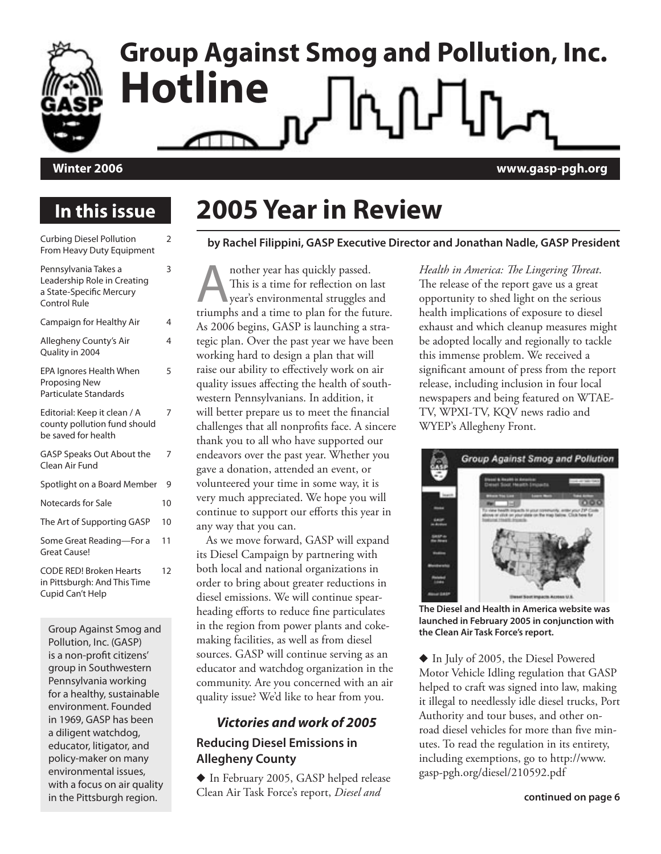

# **Group Against Smog and Pollution, Inc. Hotline**

### **Winter 2006 www.gasp-pgh.org**

### **In this issue**

| <b>Curbing Diesel Pollution</b><br>From Heavy Duty Equipment                                    | 2  |
|-------------------------------------------------------------------------------------------------|----|
| Pennsylvania Takes a<br>Leadership Role in Creating<br>a State-Specific Mercury<br>Control Rule | 3  |
| Campaign for Healthy Air                                                                        | 4  |
| Allegheny County's Air<br>Quality in 2004                                                       | 4  |
| EPA Ignores Health When<br><b>Proposing New</b><br>Particulate Standards                        | 5  |
| Editorial: Keep it clean / A<br>county pollution fund should<br>be saved for health             | 7  |
| GASP Speaks Out About the<br>Clean Air Fund                                                     | 7  |
| Spotlight on a Board Member                                                                     | 9  |
| Notecards for Sale                                                                              | 10 |
| The Art of Supporting GASP                                                                      | 10 |
| Some Great Reading-For a<br><b>Great Cause!</b>                                                 | 11 |
| <b>CODE RED! Broken Hearts</b><br>in Pittsburgh: And This Time<br>Cupid Can't Help              | 12 |
|                                                                                                 |    |

Group Against Smog and Pollution, Inc. (GASP) is a non-profit citizens' group in Southwestern Pennsylvania working for a healthy, sustainable environment. Founded in 1969, GASP has been a diligent watchdog, educator, litigator, and policy-maker on many environmental issues, with a focus on air quality in the Pittsburgh region.

### **2005 Year in Review**

#### **by Rachel Filippini, GASP Executive Director and Jonathan Nadle, GASP President**

nother year has quickly passed.<br>This is a time for reflection on l<br>year's environmental struggles a<br>triumphs and a time to plan for the fut This is a time for reflection on last year's environmental struggles and triumphs and a time to plan for the future. As 2006 begins, GASP is launching a strategic plan. Over the past year we have been working hard to design a plan that will raise our ability to effectively work on air quality issues affecting the health of southwestern Pennsylvanians. In addition, it will better prepare us to meet the financial challenges that all nonprofits face. A sincere thank you to all who have supported our endeavors over the past year. Whether you gave a donation, attended an event, or volunteered your time in some way, it is very much appreciated. We hope you will continue to support our efforts this year in any way that you can.

As we move forward, GASP will expand its Diesel Campaign by partnering with both local and national organizations in order to bring about greater reductions in diesel emissions. We will continue spearheading efforts to reduce fine particulates in the region from power plants and cokemaking facilities, as well as from diesel sources. GASP will continue serving as an educator and watchdog organization in the community. Are you concerned with an air quality issue? We'd like to hear from you.

### **Victories and work of 2005 Reducing Diesel Emissions in Allegheny County**

� In February 2005, GASP helped release Clean Air Task Force's report, *Diesel and* 

*Health in America: The Lingering Threat*. The release of the report gave us a great opportunity to shed light on the serious health implications of exposure to diesel exhaust and which cleanup measures might be adopted locally and regionally to tackle this immense problem. We received a significant amount of press from the report release, including inclusion in four local newspapers and being featured on WTAE-TV, WPXI-TV, KQV news radio and WYEP's Allegheny Front.



**The Diesel and Health in America website was launched in February 2005 in conjunction with the Clean Air Task Force's report.**

� In July of 2005, the Diesel Powered Motor Vehicle Idling regulation that GASP helped to craft was signed into law, making it illegal to needlessly idle diesel trucks, Port Authority and tour buses, and other onroad diesel vehicles for more than five minutes. To read the regulation in its entirety, including exemptions, go to http://www. gasp-pgh.org/diesel/210592.pdf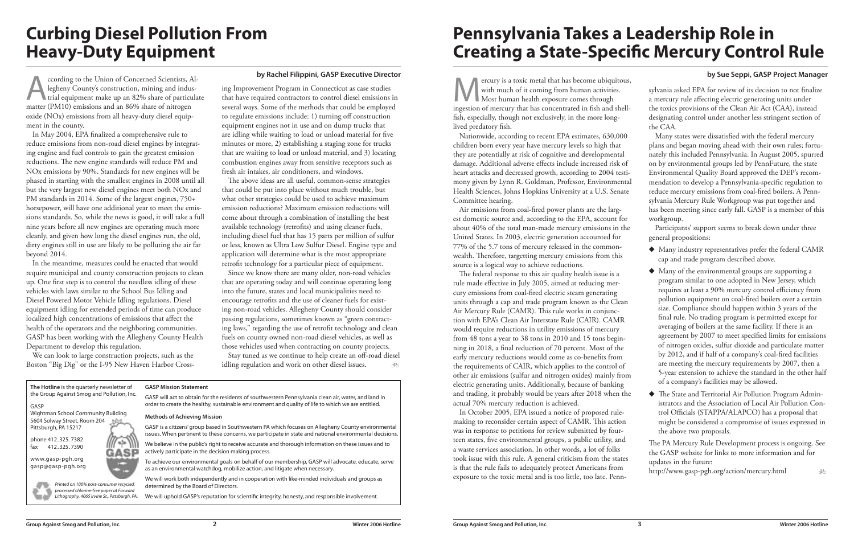**The Hotline** is the quarterly newsletter of the Group Against Smog and Pollution, Inc. GASP Wightman School Community Building 5604 Solway Street, Room 204 Pittsburgh, PA 15217 phone 412.325.7382 'ala fax 412.325.7390 www.gasp-pgh.org gasp@gasp-pgh.org



GASP is a citizens' group based in Southwestern PA which focuses on Allegheny County environmental issues. When pertinent to these concerns, we participate in state and national environmental decisions

#### **GASP Mission Statement**

GASP will act to obtain for the residents of southwestern Pennsylvania clean air, water, and land in order to create the healthy, sustainable environment and quality of life to which we are entitled.

#### **Methods of Achieving Mission**

We believe in the public's right to receive accurate and thorough information on these issues and to actively participate in the decision making process.

ccording to the Union of Concerned Scientists, Al-<br>legheny County's construction, mining and indus-<br>trial equipment make up an 82% share of particular<br>matter (PM10) emissions and an 86% share of pitrogen legheny County's construction, mining and indus**trial equipment make up an 82% share of particulate** matter (PM10) emissions and an 86% share of nitrogen oxide (NOx) emissions from all heavy-duty diesel equipment in the county.

> To achieve our environmental goals on behalf of our membership, GASP will advocate, educate, serve as an environmental watchdog, mobilize action, and litigate when necessary.

We will work both independently and in cooperation with like-minded individuals and groups as determined by the Board of Directors.

We will uphold GASP's reputation for scientific integrity, honesty, and responsible involvement.

Printed on 100% post-consumer recycled, processed chlorine-free paper at Forward Lithography, 4065 Irvine St., Pittsburgh, PA.

### **Curbing Diesel Pollution From Heavy-Duty Equipment**

#### **by Rachel Filippini, GASP Executive Director**

In May 2004, EPA finalized a comprehensive rule to reduce emissions from non-road diesel engines by integrating engine and fuel controls to gain the greatest emission reductions. The new engine standards will reduce PM and NOx emissions by 90%. Standards for new engines will be phased in starting with the smallest engines in 2008 until all but the very largest new diesel engines meet both NOx and PM standards in 2014. Some of the largest engines, 750+ horsepower, will have one additional year to meet the emissions standards. So, while the news is good, it will take a full nine years before all new engines are operating much more cleanly, and given how long the diesel engines run, the old, dirty engines still in use are likely to be polluting the air far beyond 2014.

> $\overline{\phi}$ Stay tuned as we continue to help create an off-road diesel idling regulation and work on other diesel issues.

ercury is a toxic metal that has become ubiquitous, with much of it coming from human activities. Most human health exposure comes through ingestion of mercury that has concentrated in fish and shellfish, especially, though not exclusively, in the more longlived predatory fish.

In the meantime, measures could be enacted that would require municipal and county construction projects to clean up. One first step is to control the needless idling of these vehicles with laws similar to the School Bus Idling and Diesel Powered Motor Vehicle Idling regulations. Diesel equipment idling for extended periods of time can produce localized high concentrations of emissions that affect the health of the operators and the neighboring communities. GASP has been working with the Allegheny County Health Department to develop this regulation.

We can look to large construction projects, such as the Boston "Big Dig" or the I-95 New Haven Harbor Cross-

ing Improvement Program in Connecticut as case studies that have required contractors to control diesel emissions in several ways. Some of the methods that could be employed to regulate emissions include: 1) turning off construction equipment engines not in use and on dump trucks that are idling while waiting to load or unload material for five minutes or more, 2) establishing a staging zone for trucks that are waiting to load or unload material, and 3) locating combustion engines away from sensitive receptors such as fresh air intakes, air conditioners, and windows.

The above ideas are all useful, common-sense strategies that could be put into place without much trouble, but what other strategies could be used to achieve maximum emission reductions? Maximum emission reductions will come about through a combination of installing the best available technology (retrofits) and using cleaner fuels, including diesel fuel that has 15 parts per million of sulfur or less, known as Ultra Low Sulfur Diesel. Engine type and application will determine what is the most appropriate retrofit technology for a particular piece of equipment.

Since we know there are many older, non-road vehicles that are operating today and will continue operating long into the future, states and local municipalities need to encourage retrofits and the use of cleaner fuels for existing non-road vehicles. Allegheny County should consider passing regulations, sometimes known as "green contracting laws," regarding the use of retrofit technology and clean fuels on county owned non-road diesel vehicles, as well as those vehicles used when contracting on county projects.

Nationwide, according to recent EPA estimates, 630,000 children born every year have mercury levels so high that they are potentially at risk of cognitive and developmental damage. Additional adverse effects include increased risk of heart attacks and decreased growth, according to 2004 testimony given by Lynn R. Goldman, Professor, Environmental Health Sciences, Johns Hopkins University at a U.S. Senate Committee hearing.

Air emissions from coal-fired power plants are the largest domestic source and, according to the EPA, account for about 40% of the total man-made mercury emissions in the United States. In 2003, electric generation accounted for 77% of the 5.7 tons of mercury released in the commonwealth. Therefore, targetting mercury emissions from this source is a logical way to achieve reductions.

The federal response to this air quality health issue is a rule made effective in July 2005, aimed at reducing mercury emissions from coal-fired electric steam generating units through a cap and trade program known as the Clean Air Mercury Rule (CAMR). This rule works in conjunction with EPA's Clean Air Interstate Rule (CAIR). CAMR would require reductions in utility emissions of mercury from 48 tons a year to 38 tons in 2010 and 15 tons beginning in 2018, a final reduction of 70 percent. Most of the early mercury reductions would come as co-benefits from the requirements of CAIR, which applies to the control of other air emissions (sulfur and nitrogen oxides) mainly from electric generating units. Additionally, because of banking and trading, it probably would be years after 2018 when the actual 70% mercury reduction is achieved.

In October 2005, EPA issued a notice of proposed rulemaking to reconsider certain aspect of CAMR. This action was in response to petitions for review submitted by fourteen states, five environmental groups, a public utility, and a waste services association. In other words, a lot of folks took issue with this rule. A general criticism from the states is that the rule fails to adequately protect Americans from exposure to the toxic metal and is too little, too late. Penn-

| by Sue Seppi, GASP Project Manager                            |
|---------------------------------------------------------------|
| sylvania asked EPA for review of its decision to not finalize |
| a mercury rule affecting electric generating units under      |
| the toxics provisions of the Clean Air Act (CAA), instead     |
| designating control under another less stringent section of   |
| the CAA.                                                      |
|                                                               |

Many states were dissatisfied with the federal mercury plans and began moving ahead with their own rules; fortunately this included Pennsylvania. In August 2005, spurred on by environmental groups led by PennFuture, the state Environmental Quality Board approved the DEP's recommendation to develop a Pennsylvania-specific regulation to reduce mercury emissions from coal-fired boilers. A Pennsylvania Mercury Rule Workgroup was put together and has been meeting since early fall. GASP is a member of this workgroup.

Participants' support seems to break down under three general propositions:

� Many industry representatives prefer the federal CAMR cap and trade program described above.

- � Many of the environmental groups are supporting a program similar to one adopted in New Jersey, which requires at least a 90% mercury control efficiency from pollution equipment on coal-fired boilers over a certain size. Compliance should happen within 3 years of the final rule. No trading program is permitted except for averaging of boilers at the same facility. If there is an agreement by 2007 to meet specified limits for emissions of nitrogen oxides, sulfur dioxide and particulate matter by 2012, and if half of a company's coal-fired facilities are meeting the mercury requirements by 2007, then a 5-year extension to achieve the standard in the other half of a company's facilities may be allowed.
- � The State and Territorial Air Pollution Program Administrators and the Association of Local Air Pollution Control Officials (STAPPA/ALAPCO) has a proposal that might be considered a compromise of issues expressed in the above two proposals.

The PA Mercury Rule Development process is ongoing. See the GASP website for links to more information and for updates in the future:

http://www.gasp-pgh.org/action/mercury.html

ðĀ

### **Pennsylvania Takes a Leadership Role in Creating a State-Specific Mercury Control Rule**

**by Sue Seppi, GASP Project Manager**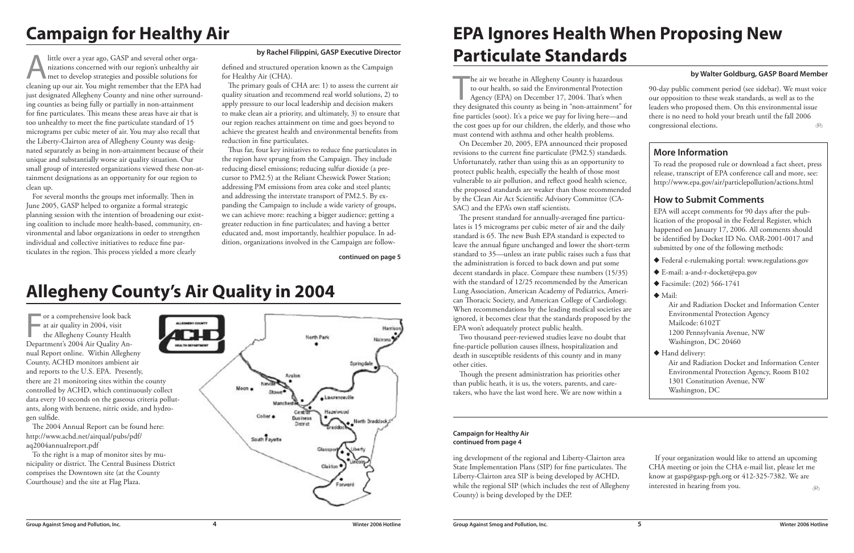little over a year ago, GASP and several other organizations concerned with our region's unhealthy air met to develop strategies and possible solutions for nizations concerned with our region's unhealthy air met to develop strategies and possible solutions for cleaning up our air. You might remember that the EPA had just designated Allegheny County and nine other surrounding counties as being fully or partially in non-attainment for fine particulates. This means these areas have air that is too unhealthy to meet the fine particulate standard of 15 micrograms per cubic meter of air. You may also recall that the Liberty-Clairton area of Allegheny County was designated separately as being in non-attainment because of their unique and substantially worse air quality situation. Our small group of interested organizations viewed these non-attainment designations as an opportunity for our region to clean up.

For several months the groups met informally. Then in June 2005, GASP helped to organize a formal strategic planning session with the intention of broadening our existing coalition to include more health-based, community, environmental and labor organizations in order to strengthen individual and collective initiatives to reduce fine particulates in the region. This process yielded a more clearly

defined and structured operation known as the Campaign for Healthy Air (CHA).

The or a comprehensive look back<br>at air quality in 2004, visit<br>the Allegheny County Health<br>Department's 2004 Air Quality Anor a comprehensive look back at air quality in 2004, visit the Allegheny County Health nual Report online. Within Allegheny County, ACHD monitors ambient air and reports to the U.S. EPA. Presently, there are 21 monitoring sites within the county controlled by ACHD, which continuously collect data every 10 seconds on the gaseous criteria pollutants, along with benzene, nitric oxide, and hydrogen sulfide.

The primary goals of CHA are: 1) to assess the current air quality situation and recommend real world solutions, 2) to apply pressure to our local leadership and decision makers to make clean air a priority, and ultimately, 3) to ensure that our region reaches attainment on time and goes beyond to achieve the greatest health and environmental benefits from reduction in fine particulates.

he air we breathe in Allegheny County is hazardous<br>to our health, so said the Environmental Protection<br>Agency (EPA) on December 17, 2004. That's when<br>they designated this county as being in "non-attainment" for he air we breathe in Allegheny County is hazardous to our health, so said the Environmental Protection Agency (EPA) on December 17, 2004. That's when fine particles (soot). It's a price we pay for living here—and the cost goes up for our children, the elderly, and those who must contend with asthma and other health problems.

On December 20, 2005, EPA announced their proposed revisions to the current fine particulate (PM2.5) standards. Unfortunately, rather than using this as an opportunity to protect public health, especially the health of those most vulnerable to air pollution, and reflect good health science, the proposed standards are weaker than those recommended by the Clean Air Act Scientific Advisory Committee (CA-SAC) and the EPA's own staff scientists.

Thus far, four key initiatives to reduce fine particulates in the region have sprung from the Campaign. They include reducing diesel emissions; reducing sulfur dioxide (a precursor to PM2.5) at the Reliant Cheswick Power Station; addressing PM emissions from area coke and steel plants; and addressing the interstate transport of PM2.5. By expanding the Campaign to include a wide variety of groups, we can achieve more: reaching a bigger audience; getting a greater reduction in fine particulates; and having a better educated and, most importantly, healthier populace. In addition, organizations involved in the Campaign are follow-

| 90-day public comment period (see sidebar). We must voice<br>our opposition to these weak standards, as well as to the<br>leaders who proposed them. On this environmental issue<br>there is no need to hold your breath until the fall 2006<br>congressional elections.<br>ÀФ |
|--------------------------------------------------------------------------------------------------------------------------------------------------------------------------------------------------------------------------------------------------------------------------------|
| <b>More Information</b>                                                                                                                                                                                                                                                        |
| To read the proposed rule or download a fact sheet, press<br>release, transcript of EPA conference call and more, see:<br>http://www.epa.gov/air/particlepollution/actions.html                                                                                                |
| <b>How to Submit Comments</b>                                                                                                                                                                                                                                                  |
| EPA will accept comments for 90 days after the pub-<br>lication of the proposal in the Federal Register, which<br>happened on January 17, 2006. All comments should<br>be identified by Docket ID No. OAR-2001-0017 and<br>submitted by one of the following methods:          |
| ◆ Federal e-rulemaking portal: www.regulations.gov                                                                                                                                                                                                                             |
| ◆ E-mail: a-and-r-docket@epa.gov                                                                                                                                                                                                                                               |
| ◆ Facsimile: (202) 566-1741                                                                                                                                                                                                                                                    |
| $\blacklozenge$ Mail:<br>Air and Radiation Docket and Information Center<br><b>Environmental Protection Agency</b><br>Mailcode: 6102T<br>1200 Pennsylvania Avenue, NW<br>Washington, DC 20460                                                                                  |
| Hand delivery:<br>Air and Radiation Docket and Information Center<br>Environmental Protection Agency, Room B102<br>1301 Constitution Avenue, NW<br>Washington, DC                                                                                                              |

The 2004 Annual Report can be found here: http://www.achd.net/airqual/pubs/pdf/ aq2004annualreport.pdf

To the right is a map of monitor sites by municipality or district. The Central Business District comprises the Downtown site (at the County Courthouse) and the site at Flag Plaza.



If your organization would like to attend an upcoming CHA meeting or join the CHA e-mail list, please let me know at gasp@gasp-pgh.org or 412-325-7382. We are interested in hearing from you.

The present standard for annually-averaged fine particulates is 15 micrograms per cubic meter of air and the daily standard is 65. The new Bush EPA standard is expected to leave the annual figure unchanged and lower the short-term standard to 35—unless an irate public raises such a fuss that the administration is forced to back down and put some decent standards in place. Compare these numbers (15/35) with the standard of 12/25 recommended by the American Lung Association, American Academy of Pediatrics, American Thoracic Society, and American College of Cardiology. When recommendations by the leading medical societies are ignored, it becomes clear that the standards proposed by the EPA won't adequately protect public health.

Two thousand peer-reviewed studies leave no doubt that fine-particle pollution causes illness, hospitalization and death in susceptible residents of this county and in many other cities.

Though the present administration has priorities other than public heath, it is us, the voters, parents, and caretakers, who have the last word here. We are now within a

#### **by Rachel Filippini, GASP Executive Director**

# **Campaign for Healthy Air**

### **EPA Ignores Health When Proposing New Particulate Standards**

### **Allegheny County's Air Quality in 2004**

ing development of the regional and Liberty-Clairton area State Implementation Plans (SIP) for fine particulates. The Liberty-Clairton area SIP is being developed by ACHD, while the regional SIP (which includes the rest of Allegheny County) is being developed by the DEP.

**continued on page 5**

#### **Campaign for Healthy Air continued from page 4**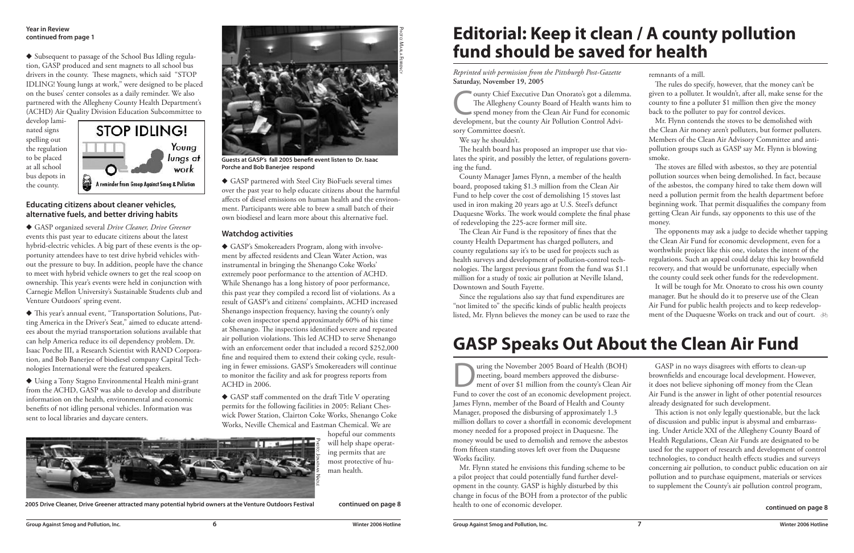� Subsequent to passage of the School Bus Idling regulation, GASP produced and sent magnets to all school bus drivers in the county. These magnets, which said "STOP IDLING! Young lungs at work," were designed to be placed on the buses' center consoles as a daily reminder. We also partnered with the Allegheny County Health Department's (ACHD) Air Quality Division Education Subcommittee to

develop laminated signs spelling out the regulation to be placed at all school bus depots in the county.



#### **Educating citizens about cleaner vehicles, alternative fuels, and better driving habits**

� GASP organized several *Drive Cleaner, Drive Greener* events this past year to educate citizens about the latest hybrid-electric vehicles. A big part of these events is the opportunity attendees have to test drive hybrid vehicles without the pressure to buy. In addition, people have the chance to meet with hybrid vehicle owners to get the real scoop on ownership. This year's events were held in conjunction with Carnegie Mellon University's Sustainable Students club and Venture Outdoors' spring event.

� This year's annual event, "Transportation Solutions, Putting America in the Driver's Seat," aimed to educate attendees about the myriad transportation solutions available that can help America reduce its oil dependency problem. Dr. Isaac Porche III, a Research Scientist with RAND Corporation, and Bob Banerjee of biodiesel company Capital Technologies International were the featured speakers.

� Using a Tony Stagno Environmental Health mini-grant from the ACHD, GASP was able to develop and distribute information on the health, environmental and economic benefits of not idling personal vehicles. Information was sent to local libraries and daycare centers.

The Allegheny County Board of Health wants him to<br>spend money from the Clean Air Fund for economic<br>development, but the county Air Pollution Control Advi-The Allegheny County Board of Health wants him to spend money from the Clean Air Fund for economic development, but the county Air Pollution Control Advisory Committee doesn't.

� GASP partnered with Steel City BioFuels several times over the past year to help educate citizens about the harmful affects of diesel emissions on human health and the environment. Participants were able to brew a small batch of their own biodiesel and learn more about this alternative fuel.

#### **Watchdog activities**

� GASP's Smokereaders Program, along with involvement by affected residents and Clean Water Action, was instrumental in bringing the Shenango Coke Works' extremely poor performance to the attention of ACHD. While Shenango has a long history of poor performance, this past year they compiled a record list of violations. As a result of GASP's and citizens' complaints, ACHD increased Shenango inspection frequency, having the county's only coke oven inspector spend approximately 60% of his time at Shenango. The inspections identified severe and repeated air pollution violations. This led ACHD to serve Shenango with an enforcement order that included a record \$252,000 fine and required them to extend their coking cycle, resulting in fewer emissions. GASP's Smokereaders will continue to monitor the facility and ask for progress reports from ACHD in 2006.

It will be tough for Mr. Onorato to cross his own county manager. But he should do it to preserve use of the Clean Air Fund for public health projects and to keep redevelopment of the Duquesne Works on track and out of court.  $\delta$ 

� GASP staff commented on the draft Title V operating permits for the following facilities in 2005: Reliant Cheswick Power Station, Clairton Coke Works, Shenango Coke Works, Neville Chemical and Eastman Chemical. We are

hopeful our comments will help shape operating permits that are most protective of human health.

#### **Year in Review continued from page 1**

Uring the November 2005 Board of Health (BOH)<br>meeting, board members approved the disbursement of over \$1 million from the county's Clean Air<br>Eund to cover the cost of an economic development project meeting, board members approved the disbursement of over \$1 million from the county's Clean Air Fund to cover the cost of an economic development project. James Flynn, member of the Board of Health and County Manager, proposed the disbursing of approximately 1.3 million dollars to cover a shortfall in economic development money needed for a proposed project in Duquesne. The money would be used to demolish and remove the asbestos from fifteen standing stoves left over from the Duquesne Works facility.

**continued on page 8**

*Reprinted with permission from the Pittsburgh Post-Gazette* **Saturday, November 19, 2005**

We say he shouldn't.

The health board has proposed an improper use that violates the spirit, and possibly the letter, of regulations governing the fund.

County Manager James Flynn, a member of the health board, proposed taking \$1.3 million from the Clean Air Fund to help cover the cost of demolishing 15 stoves last used in iron making 20 years ago at U.S. Steel's defunct Duquesne Works. The work would complete the final phase of redeveloping the 225-acre former mill site.

The Clean Air Fund is the repository of fines that the county Health Department has charged polluters, and county regulations say it's to be used for projects such as health surveys and development of pollution-control technologies. The largest previous grant from the fund was \$1.1 million for a study of toxic air pollution at Neville Island, Downtown and South Fayette.

Since the regulations also say that fund expenditures are "not limited to" the specific kinds of public health projects listed, Mr. Flynn believes the money can be used to raze the remnants of a mill.

The rules do specify, however, that the money can't be given to a polluter. It wouldn't, after all, make sense for the county to fine a polluter \$1 million then give the money back to the polluter to pay for control devices.

Mr. Flynn contends the stoves to be demolished with the Clean Air money aren't polluters, but former polluters. Members of the Clean Air Advisory Committee and antipollution groups such as GASP say Mr. Flynn is blowing smoke.

The stoves are filled with asbestos, so they are potential pollution sources when being demolished. In fact, because of the asbestos, the company hired to take them down will need a pollution permit from the health department before beginning work. That permit disqualifies the company from getting Clean Air funds, say opponents to this use of the money.

The opponents may ask a judge to decide whether tapping the Clean Air Fund for economic development, even for a worthwhile project like this one, violates the intent of the regulations. Such an appeal could delay this key brownfield recovery, and that would be unfortunate, especially when the county could seek other funds for the redevelopment.

### **Editorial: Keep it clean / A county pollution fund should be saved for health**

Mr. Flynn stated he envisions this funding scheme to be a pilot project that could potentially fund further development in the county. GASP is highly disturbed by this change in focus of the BOH from a protector of the public health to one of economic developer.

GASP in no ways disagrees with efforts to clean-up brownfields and encourage local development. However, it does not believe siphoning off money from the Clean Air Fund is the answer in light of other potential resources already designated for such development.

This action is not only legally questionable, but the lack of discussion and public input is abysmal and embarrassing. Under Article XXI of the Allegheny County Board of Health Regulations, Clean Air Funds are designated to be used for the support of research and development of control technologies, to conduct health effects studies and surveys concerning air pollution, to conduct public education on air pollution and to purchase equipment, materials or services to supplement the County's air pollution control program,

### **GASP Speaks Out About the Clean Air Fund**

**continued on page 8**



**Guests at GASP's fall 2005 benefit event listen to Dr. Isaac Porche and Bob Banerjee respond**

**2005 Drive Cleaner, Drive Greener attracted many potential hybrid owners at the Venture Outdoors Festival**

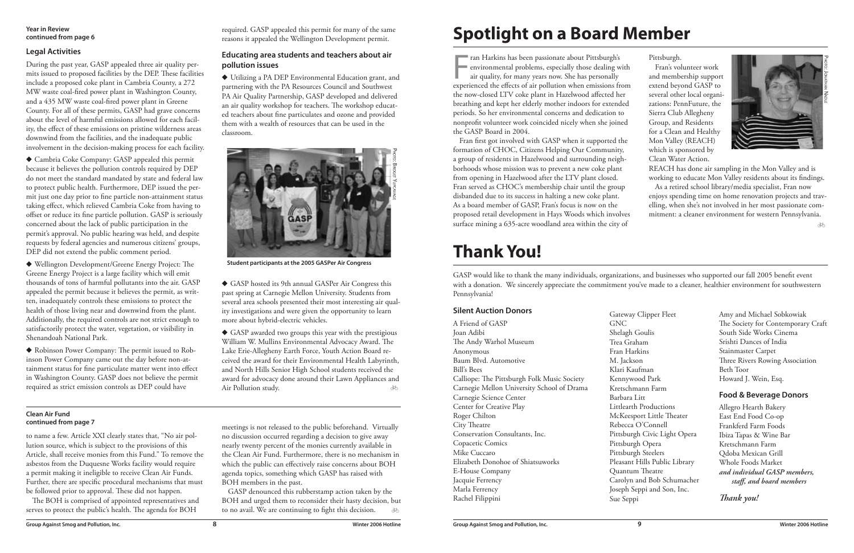Fran Harkins has been passionate about Pittsburgh's<br>
environmental problems, especially those dealing with<br>
air quality, for many years now. She has personally<br>
experienced the effects of air pollution when emissions from ran Harkins has been passionate about Pittsburgh's environmental problems, especially those dealing with air quality, for many years now. She has personally the now-closed LTV coke plant in Hazelwood affected her breathing and kept her elderly mother indoors for extended periods. So her environmental concerns and dedication to nonprofit volunteer work coincided nicely when she joined the GASP Board in 2004.

Fran first got involved with GASP when it supported the formation of CHOC, Citizens Helping Our Community, a group of residents in Hazelwood and surrounding neighborhoods whose mission was to prevent a new coke plant from opening in Hazelwood after the LTV plant closed. Fran served as CHOC's membership chair until the group disbanded due to its success in halting a new coke plant. As a board member of GASP, Fran's focus is now on the proposed retail development in Hays Woods which involves surface mining a 635-acre woodland area within the city of

#### **Silent Auction Donors**

# **Spotlight on a Board Member**

Pittsburgh.

|                                             | <b>Jack</b> |
|---------------------------------------------|-------------|
| A Friend of GASP                            | GNC         |
| Joan Adibi                                  | Shelas      |
| The Andy Warhol Museum                      | Trea (      |
| Anonymous                                   | Fran l      |
| Baum Blvd. Automotive                       | M. Ja       |
| <b>Bill's Bees</b>                          | Klari       |
| Calliope: The Pittsburgh Folk Music Society | Kenn        |
| Carnegie Mellon University School of Drama  | Kretso      |
| Carnegie Science Center                     | Barba       |
| Center for Creative Play                    | Little      |
| Roger Chilton                               | McKe        |
| City Theatre                                | Rebec       |
| Conservation Consultants, Inc.              | Pittsb      |
| Copacetic Comics                            | Pittsb      |
| Mike Cuccaro                                | Pittsb      |
| Elizabeth Donohoe of Shiatsuworks           | Pleasa      |
| E-House Company                             | Quan        |
| Jacquie Ferrency                            | Carol       |
| Marla Ferrency                              | Josepl      |
| Rachel Filippini                            | Sue S       |
|                                             |             |

Fran's volunteer work and membership support extend beyond GASP to several other local organizations: PennFuture, the Sierra Club Allegheny Group, and Residents for a Clean and Healthy Mon Valley (REACH) which is sponsored by Clean Water Action.

REACH has done air sampling in the Mon Valley and is working to educate Mon Valley residents about its findings. As a retired school library/media specialist, Fran now enjoys spending time on home renovation projects and travelling, when she's not involved in her most passionate com-

mitment: a cleaner environment for western Pennsylvania.

 $\overline{\mathcal{A}}$ 

Gateway Clipper Fleet

gh Goulis Graham Harkins ckson Kaufman ywood Park chmann Farm ura Litt arth Productions eesport Little Theater cca O'Connell burgh Civic Light Opera burgh Opera **Purgh Steelers** ant Hills Public Library itum Theatre lyn and Bob Schumacher h Seppi and Son, Inc. eppi

GASP would like to thank the many individuals, organizations, and businesses who supported our fall 2005 benefit event with a donation. We sincerely appreciate the commitment you've made to a cleaner, healthier environment for southwestern Pennsylvania!

> Amy and Michael Sobkowiak The Society for Contemporary Craft South Side Works Cinema Srishti Dances of India Stainmaster Carpet Three Rivers Rowing Association Beth Toor Howard J. Wein, Esq.

### **Food & Beverage Donors**

Allegro Hearth Bakery East End Food Co-op Frankferd Farm Foods Ibiza Tapas & Wine Bar Kretschmann Farm Qdoba Mexican Grill Whole Foods Market *and individual GASP members, staff, and board members*

 $\overline{\mathcal{M}}$ � GASP awarded two groups this year with the prestigious William W. Mullins Environmental Advocacy Award. The Lake Erie-Allegheny Earth Force, Youth Action Board received the award for their Environmental Health Labyrinth, and North Hills Senior High School students received the award for advocacy done around their Lawn Appliances and Air Pollution study.

*Thank you!*

### **Thank You!**

#### **Year in Review continued from page 6**

### **Legal Activities**

During the past year, GASP appealed three air quality permits issued to proposed facilities by the DEP. These facilities include a proposed coke plant in Cambria County, a 272 MW waste coal-fired power plant in Washington County, and a 435 MW waste coal-fired power plant in Greene County. For all of these permits, GASP had grave concerns about the level of harmful emissions allowed for each facility, the effect of these emissions on pristine wilderness areas downwind from the facilities, and the inadequate public involvement in the decision-making process for each facility.

> GASP denounced this rubberstamp action taken by the BOH and urged them to reconsider their hasty decision, but to no avail. We are continuing to fight this decision. ð o

� Cambria Coke Company: GASP appealed this permit because it believes the pollution controls required by DEP do not meet the standard mandated by state and federal law to protect public health. Furthermore, DEP issued the permit just one day prior to fine particle non-attainment status taking effect, which relieved Cambria Coke from having to offset or reduce its fine particle pollution. GASP is seriously concerned about the lack of public participation in the permit's approval. No public hearing was held, and despite requests by federal agencies and numerous citizens' groups, DEP did not extend the public comment period.

� Wellington Development/Greene Energy Project: The Greene Energy Project is a large facility which will emit thousands of tons of harmful pollutants into the air. GASP appealed the permit because it believes the permit, as written, inadequately controls these emissions to protect the health of those living near and downwind from the plant. Additionally, the required controls are not strict enough to satisfactorily protect the water, vegetation, or visibility in Shenandoah National Park.

� Robinson Power Company: The permit issued to Robinson Power Company came out the day before non-attainment status for fine particulate matter went into effect in Washington County. GASP does not believe the permit required as strict emission controls as DEP could have

required. GASP appealed this permit for many of the same reasons it appealed the Wellington Development permit.

### **Educating area students and teachers about air pollution issues**

� Utilizing a PA DEP Environmental Education grant, and partnering with the PA Resources Council and Southwest PA Air Quality Partnership, GASP developed and delivered an air quality workshop for teachers. The workshop educated teachers about fine particulates and ozone and provided them with a wealth of resources that can be used in the classroom.

� GASP hosted its 9th annual GASPer Air Congress this past spring at Carnegie Mellon University. Students from several area schools presented their most interesting air quality investigations and were given the opportunity to learn more about hybrid-electric vehicles.

to name a few. Article XXI clearly states that, "No air pollution source, which is subject to the provisions of this Article, shall receive monies from this Fund." To remove the asbestos from the Duquesne Works facility would require a permit making it ineligible to receive Clean Air Funds. Further, there are specific procedural mechanisms that must be followed prior to approval. These did not happen.

The BOH is comprised of appointed representatives and serves to protect the public's health. The agenda for BOH

meetings is not released to the public beforehand. Virtually no discussion occurred regarding a decision to give away nearly twenty percent of the monies currently available in the Clean Air Fund. Furthermore, there is no mechanism in which the public can effectively raise concerns about BOH agenda topics, something which GASP has raised with BOH members in the past.

#### **Clean Air Fund continued from page 7**



**Student participants at the 2005 GASPer Air Congress**

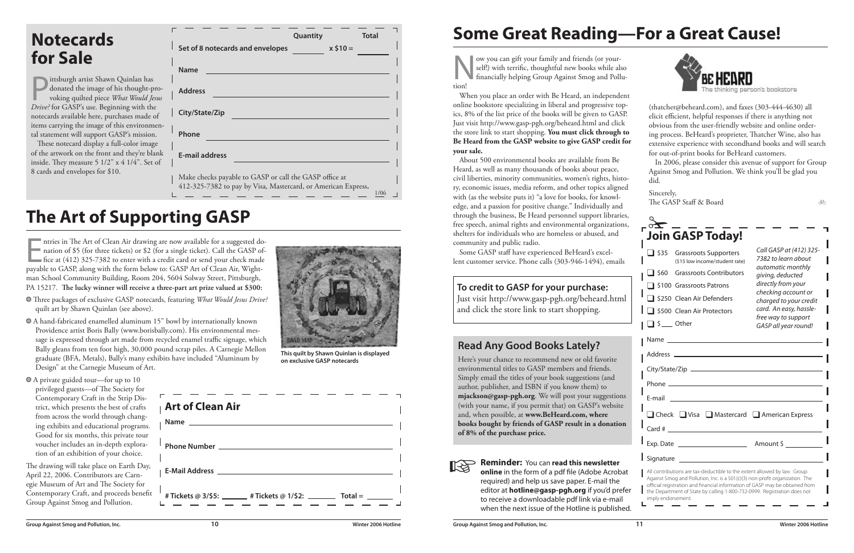| through the business, Be Heard personnel support libraries,<br>free speech, animal rights and environmental organizations,<br>shelters for individuals who are homeless or abused, and<br>community and public radio.<br>Some GASP staff have experienced BeHeard's excel-<br>lent customer service. Phone calls (303-946-1494), emails                                                                                                                                                                                | <b>Join GASP Today!</b><br>Call GASP at (412) 325-<br>$\Box$ \$35<br><b>Grassroots Supporters</b><br>7382 to learn about<br>(\$15 low income/student rate)<br>automatic monthly<br><b>Grassroots Contributors</b><br>$\perp$ \$60<br>giving, deducted                                                                                                   |
|------------------------------------------------------------------------------------------------------------------------------------------------------------------------------------------------------------------------------------------------------------------------------------------------------------------------------------------------------------------------------------------------------------------------------------------------------------------------------------------------------------------------|---------------------------------------------------------------------------------------------------------------------------------------------------------------------------------------------------------------------------------------------------------------------------------------------------------------------------------------------------------|
| To credit to GASP for your purchase:<br>Just visit http://www.gasp-pgh.org/beheard.html<br>and click the store link to start shopping.                                                                                                                                                                                                                                                                                                                                                                                 | directly from your<br>□ \$100 Grassroots Patrons<br>checking account or<br>S250 Clean Air Defenders<br>charged to your credit<br>card. An easy, hassle-<br>S500 Clean Air Protectors<br>free way to support<br>$\Box$ \$ __ Other<br>GASP all year round!                                                                                               |
| <b>Read Any Good Books Lately?</b><br>Here's your chance to recommend new or old favorite<br>environmental titles to GASP members and friends.<br>Simply email the titles of your book suggestions (and<br>author, publisher, and ISBN if you know them) to<br>mjackson@gasp-pgh.org. We will post your suggestions<br>(with your name, if you permit that) on GASP's website<br>and, when possible, at www.BeHeard.com, where<br>books bought by friends of GASP result in a donation<br>of 8% of the purchase price. | E-mail and the contract of the contract of the contract of the contract of the contract of the contract of the<br>□ Check □ Visa □ Mastercard □ American Express<br>$Card \#$                                                                                                                                                                           |
| <b>Reminder: You can read this newsletter</b><br>online in the form of a pdf file (Adobe Acrobat<br>required) and help us save paper. E-mail the<br>editor at hotline@gasp-pgh.org if you'd prefer<br>to receive a downloadable pdf link via e-mail<br>when the next issue of the Hotline is published.                                                                                                                                                                                                                | Signature<br>All contributions are tax-deductible to the extent allowed by law. Group<br>Against Smog and Pollution, Inc. is a 501(c)(3) non-profit organization. The<br>official registration and financial information of GASP may be obtained from<br>the Department of State by calling 1-800-732-0999. Registration does not<br>imply endorsement. |



Ittsburgh artist Shawn Quinlan has<br>donated the image of his thought-p<br>voking quilted piece What Would Je.<br>Drive? for GASP's use Beginning with the donated the image of his thought-provoking quilted piece *What Would Jesus Drive?* for GASP's use. Beginning with the notecards available here, purchases made of items carrying the image of this environmental statement will support GASP's mission.

# **Some Great Reading—For a Great Cause!**

These notecard display a full-color image of the artwork on the front and they're blank inside. They measure 5 1/2" x 4 1/4". Set of 8 cards and envelopes for \$10.

ntries in The Art of Clean Air drawing are now available for a suggested do<br>nation of \$5 (for three tickets) or \$2 (for a single ticket). Call the GASP of<br>fice at (412) 325-7382 to enter with a credit card or send your che ntries in The Art of Clean Air drawing are now available for a suggested donation of \$5 (for three tickets) or \$2 (for a single ticket). Call the GASP office at (412) 325-7382 to enter with a credit card or send your check made man School Community Building, Room 204, 5604 Solway Street, Pittsburgh, PA 15217. **The lucky winner will receive a three-part art prize valued at \$300:**

### **Read Any Good Books Lately?**

(thatcher@beheard.com), and faxes (303-444-4630) all elicit efficient, helpful responses if there is anything not obvious from the user-friendly website and online ordering process. BeHeard's proprieter, Thatcher Wine, also has extensive experience with secondhand books and will search for out-of-print books for BeHeard customers.

Now you can gift your family and friends (or your-<br>self!) with terrific, thoughtful new books while also<br>financially helping Group Against Smog and Poll<br>tion! self!) with terrific, thoughtful new books while also financially helping Group Against Smog and Pollution!

> In 2006, please consider this avenue of support for Group Against Smog and Pollution. We think you'll be glad you did.

#### Sincerely, The GASP Staff & Board

|                   | a. |        |  |
|-------------------|----|--------|--|
| ٧<br>٧<br>i<br>۰. | ł  | I<br>i |  |

|                                                                                                                         | Quantity |           | <b>Total</b> |
|-------------------------------------------------------------------------------------------------------------------------|----------|-----------|--------------|
| Set of 8 notecards and envelopes                                                                                        |          | $x $10 =$ |              |
| <b>Name</b>                                                                                                             |          |           |              |
| <b>Address</b>                                                                                                          |          |           |              |
| City/State/Zip                                                                                                          |          |           |              |
| Phone                                                                                                                   |          |           |              |
| <b>E-mail address</b>                                                                                                   |          |           |              |
| Make checks payable to GASP or call the GASP office at<br>412-325-7382 to pay by Visa, Mastercard, or American Express. |          |           |              |

- Three packages of exclusive GASP notecards, featuring *What Would Jesus Drive?* quilt art by Shawn Quinlan (see above).
- A hand-fabricated enamelled aluminum 15" bowl by internationally known Providence artist Boris Bally (www.borisbally.com). His environmental message is expressed through art made from recycled enamel traffic signage, which Bally gleans from ten foot high, 30,000 pound scrap piles. A Carnegie Mellon graduate (BFA, Metals), Bally's many exhibits have included "Aluminum by Design" at the Carnegie Museum of Art.
- A private guided tour—for up to 10 privileged guests—of The Society for Contemporary Craft in the Strip District, which presents the best of crafts from across the world through changing exhibits and educational programs. Good for six months, this private tour voucher includes an in-depth exploration of an exhibition of your choice.

The drawing will take place on Earth Day, April 22, 2006. Contributors are Carnegie Museum of Art and The Society for Contemporary Craft, and proceeds benefit Group Against Smog and Pollution.

### **The Art of Supporting GASP**

### **Notecards for Sale**

When you place an order with Be Heard, an independent online bookstore specializing in liberal and progressive topics, 8% of the list price of the books will be given to GASP. Just visit http://www.gasp-pgh.org/beheard.html and click the store link to start shopping. **You must click through to Be Heard from the GASP website to give GASP credit for your sale.**

About 500 environmental books are available from Be Heard, as well as many thousands of books about peace, civil liberties, minority communities, women's rights, history, economic issues, media reform, and other topics aligned with (as the website puts it) "a love for books, for knowledge, and a passion for positive change." Individually and through the business, Be Heard personnel support libraries, free speech, animal rights and environmental organizations, shelters for individuals who are homeless or abused, and community and public radio.

### **To credit to GASP for your purchase:**

**This quilt by Shawn Quinlan is displayed on exclusive GASP notecards**

| Art of Clean Air                                                                                                                                                                                                          |
|---------------------------------------------------------------------------------------------------------------------------------------------------------------------------------------------------------------------------|
|                                                                                                                                                                                                                           |
|                                                                                                                                                                                                                           |
| E-Mail Address   2008   2009   2010   2021   2022   2022   2022   2022   2022   2022   2022   2022   2022   2022   2022   2022   2022   2022   2022   2022   2022   2022   2022   2022   2022   2022   2022   2022   2022 |
| # Tickets @ 3/\$5: _______ # Tickets @ 1/\$2: _________ Total = _______                                                                                                                                                   |